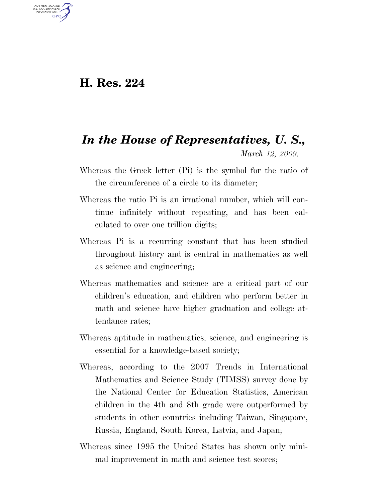## **H. Res. 224**

U.S. GOVERNMENT GPO

## *In the House of Representatives, U. S., March 12, 2009.*

- Whereas the Greek letter (Pi) is the symbol for the ratio of the circumference of a circle to its diameter;
- Whereas the ratio Pi is an irrational number, which will continue infinitely without repeating, and has been calculated to over one trillion digits;
- Whereas Pi is a recurring constant that has been studied throughout history and is central in mathematics as well as science and engineering;
- Whereas mathematics and science are a critical part of our children's education, and children who perform better in math and science have higher graduation and college attendance rates;
- Whereas aptitude in mathematics, science, and engineering is essential for a knowledge-based society;
- Whereas, according to the 2007 Trends in International Mathematics and Science Study (TIMSS) survey done by the National Center for Education Statistics, American children in the 4th and 8th grade were outperformed by students in other countries including Taiwan, Singapore, Russia, England, South Korea, Latvia, and Japan;
- Whereas since 1995 the United States has shown only minimal improvement in math and science test scores;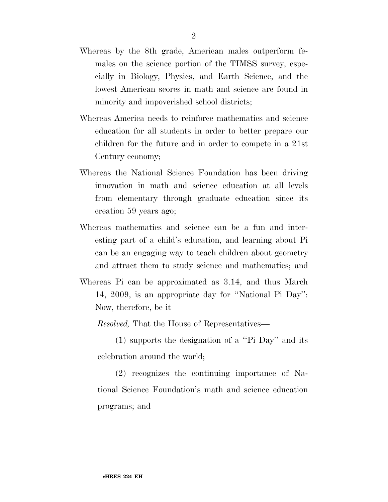- Whereas by the 8th grade, American males outperform females on the science portion of the TIMSS survey, especially in Biology, Physics, and Earth Science, and the lowest American scores in math and science are found in minority and impoverished school districts;
- Whereas America needs to reinforce mathematics and science education for all students in order to better prepare our children for the future and in order to compete in a 21st Century economy;
- Whereas the National Science Foundation has been driving innovation in math and science education at all levels from elementary through graduate education since its creation 59 years ago;
- Whereas mathematics and science can be a fun and interesting part of a child's education, and learning about Pi can be an engaging way to teach children about geometry and attract them to study science and mathematics; and
- Whereas Pi can be approximated as 3.14, and thus March 14, 2009, is an appropriate day for ''National Pi Day'': Now, therefore, be it

*Resolved,* That the House of Representatives—

(1) supports the designation of a ''Pi Day'' and its celebration around the world;

(2) recognizes the continuing importance of National Science Foundation's math and science education programs; and